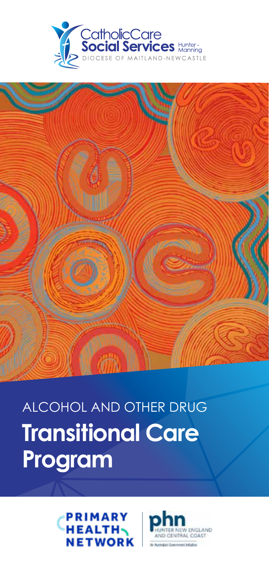



# ALCOHOL AND OTHER DRUG **Transitional Care Program**



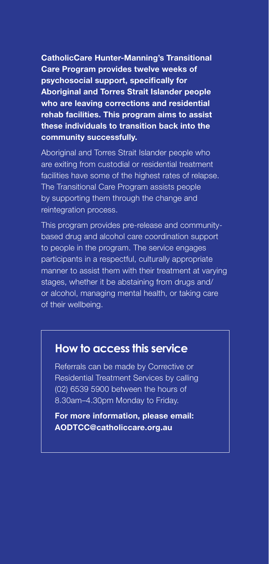CatholicCare Hunter-Manning's Transitional Care Program provides twelve weeks of psychosocial support, specifically for Aboriginal and Torres Strait Islander people who are leaving corrections and residential rehab facilities. This program aims to assist these individuals to transition back into the community successfully.

Aboriginal and Torres Strait Islander people who are exiting from custodial or residential treatment facilities have some of the highest rates of relapse. The Transitional Care Program assists people by supporting them through the change and reintegration process.

This program provides pre-release and communitybased drug and alcohol care coordination support to people in the program. The service engages participants in a respectful, culturally appropriate manner to assist them with their treatment at varying stages, whether it be abstaining from drugs and/ or alcohol, managing mental health, or taking care of their wellbeing.

## **How to access this service**

Referrals can be made by Corrective or Residential Treatment Services by calling (02) 6539 5900 between the hours of 8.30am–4.30pm Monday to Friday.

For more information, please email: AODTCC@catholiccare.org.au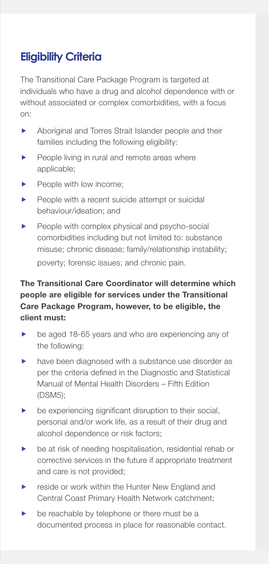# **Eligibility Criteria**

The Transitional Care Package Program is targeted at individuals who have a drug and alcohol dependence with or without associated or complex comorbidities, with a focus on:

- **EXECUTE:** Aboriginal and Torres Strait Islander people and their families including the following eligibility:
- $\blacktriangleright$  People living in rural and remote areas where applicable;
- $\blacktriangleright$  People with low income:
- $\blacktriangleright$  People with a recent suicide attempt or suicidal behaviour/ideation; and
- $\blacktriangleright$  People with complex physical and psycho-social comorbidities including but not limited to: substance misuse; chronic disease; family/relationship instability; poverty; forensic issues; and chronic pain.

### The Transitional Care Coordinator will determine which people are eligible for services under the Transitional Care Package Program, however, to be eligible, the client must:

- $\blacktriangleright$  be aged 18-65 years and who are experiencing any of the following:
- $\blacktriangleright$  have been diagnosed with a substance use disorder as per the criteria defined in the Diagnostic and Statistical Manual of Mental Health Disorders – Fifth Edition (DSM5);
- $\blacktriangleright$  be experiencing significant disruption to their social, personal and/or work life, as a result of their drug and alcohol dependence or risk factors;
- $\blacktriangleright$  be at risk of needing hospitalisation, residential rehab or corrective services in the future if appropriate treatment and care is not provided;
- $\blacktriangleright$  reside or work within the Hunter New England and Central Coast Primary Health Network catchment;
- $\blacktriangleright$  be reachable by telephone or there must be a documented process in place for reasonable contact.